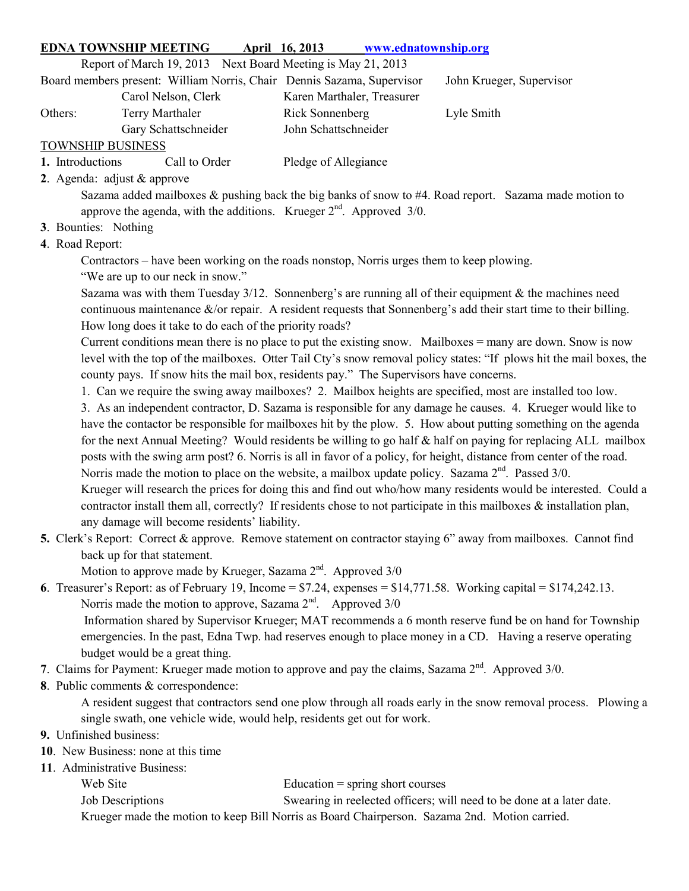## EDNA TOWNSHIP MEETING April 16, 2013 www.ednatownship.org

Report of March 19, 2013 Next Board Meeting is May 21, 2013

|                          | Board members present: William Norris, Chair Dennis Sazama, Supervisor |                            | John Krueger, Supervisor |
|--------------------------|------------------------------------------------------------------------|----------------------------|--------------------------|
|                          | Carol Nelson, Clerk                                                    | Karen Marthaler, Treasurer |                          |
| Others:                  | Terry Marthaler                                                        | Rick Sonnenberg            | Lyle Smith               |
|                          | Gary Schattschneider                                                   | John Schattschneider       |                          |
| <b>TOWNSHIP BUSINESS</b> |                                                                        |                            |                          |
| 1. Introductions         | Call to Order                                                          | Pledge of Allegiance       |                          |

2. Agenda: adjust & approve

Sazama added mailboxes & pushing back the big banks of snow to #4. Road report. Sazama made motion to approve the agenda, with the additions. Krueger  $2<sup>nd</sup>$ . Approved 3/0.

- 3. Bounties: Nothing
- 4. Road Report:

Contractors – have been working on the roads nonstop, Norris urges them to keep plowing.

"We are up to our neck in snow."

Sazama was with them Tuesday  $3/12$ . Sonnenberg's are running all of their equipment & the machines need continuous maintenance &/or repair. A resident requests that Sonnenberg's add their start time to their billing. How long does it take to do each of the priority roads?

Current conditions mean there is no place to put the existing snow. Mailboxes  $=$  many are down. Snow is now level with the top of the mailboxes. Otter Tail Cty's snow removal policy states: "If plows hit the mail boxes, the county pays. If snow hits the mail box, residents pay." The Supervisors have concerns.

1. Can we require the swing away mailboxes? 2. Mailbox heights are specified, most are installed too low.

3. As an independent contractor, D. Sazama is responsible for any damage he causes. 4. Krueger would like to have the contactor be responsible for mailboxes hit by the plow. 5. How about putting something on the agenda for the next Annual Meeting? Would residents be willing to go half & half on paying for replacing ALL mailbox posts with the swing arm post? 6. Norris is all in favor of a policy, for height, distance from center of the road. Norris made the motion to place on the website, a mailbox update policy. Sazama  $2<sup>nd</sup>$ . Passed 3/0. Krueger will research the prices for doing this and find out who/how many residents would be interested. Could a

contractor install them all, correctly? If residents chose to not participate in this mailboxes  $\&$  installation plan, any damage will become residents' liability.

5. Clerk's Report: Correct & approve. Remove statement on contractor staying 6" away from mailboxes. Cannot find back up for that statement.

Motion to approve made by Krueger, Sazama  $2<sup>nd</sup>$ . Approved  $3/0$ 

- 6. Treasurer's Report: as of February 19, Income =  $$7.24$ , expenses =  $$14,771.58$ . Working capital =  $$174,242.13$ . Norris made the motion to approve, Sazama  $2<sup>nd</sup>$ . Approved  $3/0$  Information shared by Supervisor Krueger; MAT recommends a 6 month reserve fund be on hand for Township emergencies. In the past, Edna Twp. had reserves enough to place money in a CD. Having a reserve operating budget would be a great thing.
- 7. Claims for Payment: Krueger made motion to approve and pay the claims, Sazama 2<sup>nd</sup>. Approved 3/0.
- 8. Public comments & correspondence:

A resident suggest that contractors send one plow through all roads early in the snow removal process. Plowing a single swath, one vehicle wide, would help, residents get out for work.

## 9. Unfinished business:

- 10. New Business: none at this time
- 11. Administrative Business:

Web Site Education = spring short courses

Job Descriptions Swearing in reelected officers; will need to be done at a later date.

Krueger made the motion to keep Bill Norris as Board Chairperson. Sazama 2nd. Motion carried.